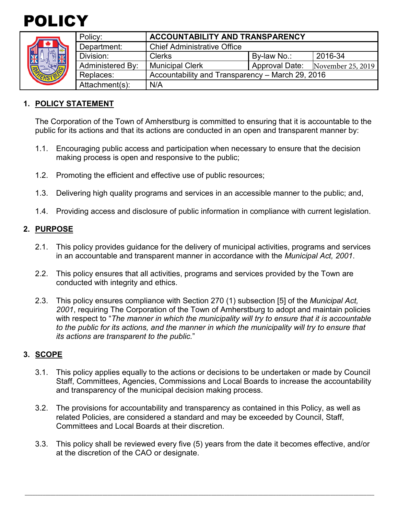



|                    | Policy:          | ACCOUNTABILITY AND TRANSPARENCY                  |                |                   |
|--------------------|------------------|--------------------------------------------------|----------------|-------------------|
| ה<br>$\frac{1}{2}$ | Department:      | <b>Chief Administrative Office</b>               |                |                   |
|                    | Division:        | <b>Clerks</b>                                    | By-law No.:    | 2016-34           |
|                    | Administered By: | <b>Municipal Clerk</b>                           | Approval Date: | November 25, 2019 |
|                    | Replaces:        | Accountability and Transparency - March 29, 2016 |                |                   |
|                    | Attachment(s):   | N/A                                              |                |                   |
|                    |                  |                                                  |                |                   |

#### **1. POLICY STATEMENT**

The Corporation of the Town of Amherstburg is committed to ensuring that it is accountable to the public for its actions and that its actions are conducted in an open and transparent manner by:

- 1.1. Encouraging public access and participation when necessary to ensure that the decision making process is open and responsive to the public;
- 1.2. Promoting the efficient and effective use of public resources;
- 1.3. Delivering high quality programs and services in an accessible manner to the public; and,
- 1.4. Providing access and disclosure of public information in compliance with current legislation.

#### **2. PURPOSE**

- 2.1. This policy provides guidance for the delivery of municipal activities, programs and services in an accountable and transparent manner in accordance with the *Municipal Act, 2001*.
- 2.2. This policy ensures that all activities, programs and services provided by the Town are conducted with integrity and ethics.
- 2.3. This policy ensures compliance with Section 270 (1) subsection [5] of the *Municipal Act, 2001*, requiring The Corporation of the Town of Amherstburg to adopt and maintain policies with respect to "*The manner in which the municipality will try to ensure that it is accountable to the public for its actions, and the manner in which the municipality will try to ensure that its actions are transparent to the public.*"

#### **3. SCOPE**

- 3.1. This policy applies equally to the actions or decisions to be undertaken or made by Council Staff, Committees, Agencies, Commissions and Local Boards to increase the accountability and transparency of the municipal decision making process.
- 3.2. The provisions for accountability and transparency as contained in this Policy, as well as related Policies, are considered a standard and may be exceeded by Council, Staff, Committees and Local Boards at their discretion.
- 3.3. This policy shall be reviewed every five (5) years from the date it becomes effective, and/or at the discretion of the CAO or designate.

\_\_\_\_\_\_\_\_\_\_\_\_\_\_\_\_\_\_\_\_\_\_\_\_\_\_\_\_\_\_\_\_\_\_\_\_\_\_\_\_\_\_\_\_\_\_\_\_\_\_\_\_\_\_\_\_\_\_\_\_\_\_\_\_\_\_\_\_\_\_\_\_\_\_\_\_\_\_\_\_\_\_\_\_\_\_\_\_\_\_\_\_\_\_\_\_\_\_\_\_\_\_\_\_\_\_\_\_\_\_\_\_\_\_\_\_\_\_\_\_\_\_\_\_\_\_\_\_\_\_\_\_\_\_\_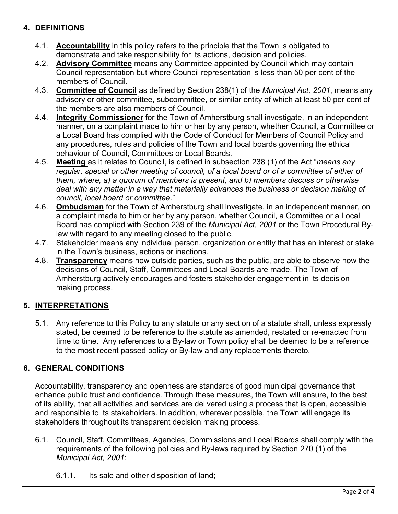# **4. DEFINITIONS**

- 4.1. **Accountability** in this policy refers to the principle that the Town is obligated to demonstrate and take responsibility for its actions, decision and policies.
- 4.2. **Advisory Committee** means any Committee appointed by Council which may contain Council representation but where Council representation is less than 50 per cent of the members of Council.
- 4.3. **Committee of Council** as defined by Section 238(1) of the *Municipal Act, 2001*, means any advisory or other committee, subcommittee, or similar entity of which at least 50 per cent of the members are also members of Council.
- 4.4. **Integrity Commissioner** for the Town of Amherstburg shall investigate, in an independent manner, on a complaint made to him or her by any person, whether Council, a Committee or a Local Board has complied with the Code of Conduct for Members of Council Policy and any procedures, rules and policies of the Town and local boards governing the ethical behaviour of Council, Committees or Local Boards.
- 4.5. **Meeting** as it relates to Council, is defined in subsection 238 (1) of the Act "*means any*  regular, special or other meeting of council, of a local board or of a committee of either of *them, where, a) a quorum of members is present, and b) members discuss or otherwise deal with any matter in a way that materially advances the business or decision making of council, local board or committee*."
- 4.6. **Ombudsman** for the Town of Amherstburg shall investigate, in an independent manner, on a complaint made to him or her by any person, whether Council, a Committee or a Local Board has complied with Section 239 of the *Municipal Act, 2001* or the Town Procedural Bylaw with regard to any meeting closed to the public.
- 4.7. Stakeholder means any individual person, organization or entity that has an interest or stake in the Town's business, actions or inactions.
- 4.8. **Transparency** means how outside parties, such as the public, are able to observe how the decisions of Council, Staff, Committees and Local Boards are made. The Town of Amherstburg actively encourages and fosters stakeholder engagement in its decision making process.

# **5. INTERPRETATIONS**

5.1. Any reference to this Policy to any statute or any section of a statute shall, unless expressly stated, be deemed to be reference to the statute as amended, restated or re-enacted from time to time. Any references to a By-law or Town policy shall be deemed to be a reference to the most recent passed policy or By-law and any replacements thereto.

# **6. GENERAL CONDITIONS**

Accountability, transparency and openness are standards of good municipal governance that enhance public trust and confidence. Through these measures, the Town will ensure, to the best of its ability, that all activities and services are delivered using a process that is open, accessible and responsible to its stakeholders. In addition, wherever possible, the Town will engage its stakeholders throughout its transparent decision making process.

- 6.1. Council, Staff, Committees, Agencies, Commissions and Local Boards shall comply with the requirements of the following policies and By-laws required by Section 270 (1) of the *Municipal Act, 2001*:
	- 6.1.1. Its sale and other disposition of land;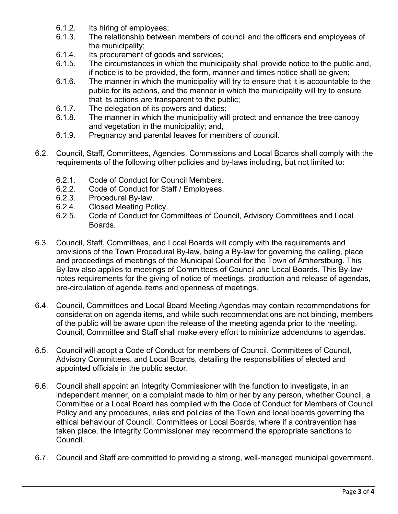- 6.1.2. Its hiring of employees;
- 6.1.3. The relationship between members of council and the officers and employees of the municipality;
- 6.1.4. Its procurement of goods and services;
- 6.1.5. The circumstances in which the municipality shall provide notice to the public and, if notice is to be provided, the form, manner and times notice shall be given;
- 6.1.6. The manner in which the municipality will try to ensure that it is accountable to the public for its actions, and the manner in which the municipality will try to ensure that its actions are transparent to the public;
- 6.1.7. The delegation of its powers and duties;
- 6.1.8. The manner in which the municipality will protect and enhance the tree canopy and vegetation in the municipality; and,
- 6.1.9. Pregnancy and parental leaves for members of council.
- 6.2. Council, Staff, Committees, Agencies, Commissions and Local Boards shall comply with the requirements of the following other policies and by-laws including, but not limited to:
	- 6.2.1. Code of Conduct for Council Members.
	- 6.2.2. Code of Conduct for Staff / Employees.
	- 6.2.3. Procedural By-law.
	- 6.2.4. Closed Meeting Policy.<br>6.2.5. Code of Conduct for Co
	- 6.2.5. Code of Conduct for Committees of Council, Advisory Committees and Local Boards.
- 6.3. Council, Staff, Committees, and Local Boards will comply with the requirements and provisions of the Town Procedural By-law, being a By-law for governing the calling, place and proceedings of meetings of the Municipal Council for the Town of Amherstburg. This By-law also applies to meetings of Committees of Council and Local Boards. This By-law notes requirements for the giving of notice of meetings, production and release of agendas, pre-circulation of agenda items and openness of meetings.
- 6.4. Council, Committees and Local Board Meeting Agendas may contain recommendations for consideration on agenda items, and while such recommendations are not binding, members of the public will be aware upon the release of the meeting agenda prior to the meeting. Council, Committee and Staff shall make every effort to minimize addendums to agendas.
- 6.5. Council will adopt a Code of Conduct for members of Council, Committees of Council, Advisory Committees, and Local Boards, detailing the responsibilities of elected and appointed officials in the public sector.
- 6.6. Council shall appoint an Integrity Commissioner with the function to investigate, in an independent manner, on a complaint made to him or her by any person, whether Council, a Committee or a Local Board has complied with the Code of Conduct for Members of Council Policy and any procedures, rules and policies of the Town and local boards governing the ethical behaviour of Council, Committees or Local Boards, where if a contravention has taken place, the Integrity Commissioner may recommend the appropriate sanctions to Council.
- 6.7. Council and Staff are committed to providing a strong, well-managed municipal government.